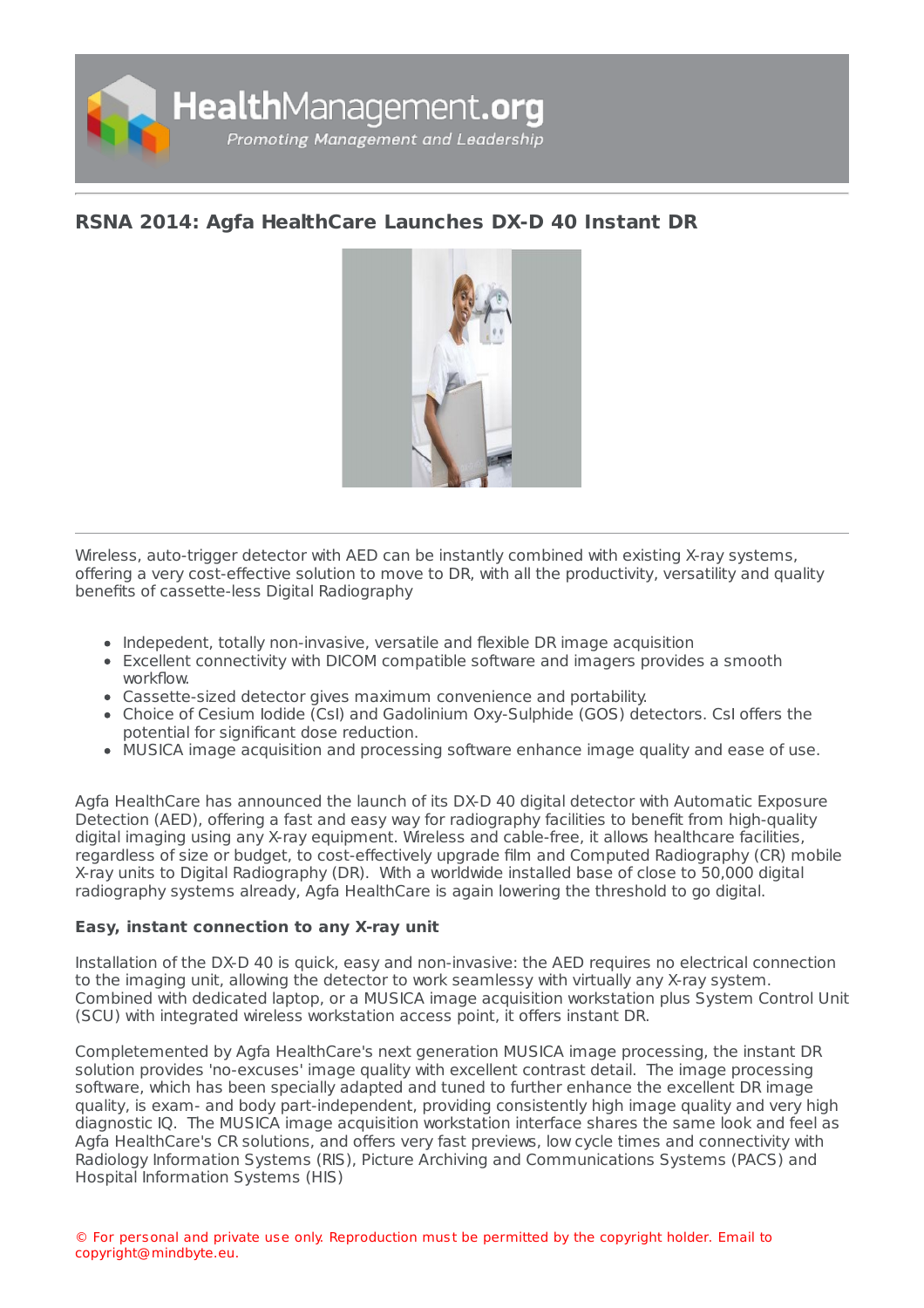

## **RSNA 2014: Agfa [HealthCare](https://healthmanagement.org/s/rsna-2014-agfa-healthcare-launches-dx-d-40-instant-dr) Launches DX-D 40 Instant DR**



Wireless, auto-trigger detector with AED can be instantly combined with existing X-ray systems, offering a very cost-effective solution to move to DR, with all the productivity, versatility and quality benefits of cassette-less Digital Radiography

- Indepedent, totally non-invasive, versatile and flexible DR image acquisition
- Excellent connectivity with DICOM compatible software and imagers provides a smooth workflow.
- Cassette-sized detector gives maximum convenience and portability.
- Choice of Cesium Iodide (CsI) and Gadolinium Oxy-Sulphide (GOS) detectors. CsI offers the potential for significant dose reduction.
- MUSICA image acquisition and processing software enhance image quality and ease of use.

Agfa HealthCare has announced the launch of its DX-D 40 digital detector with Automatic Exposure Detection (AED), offering a fast and easy way for radiography facilities to benefit from high-quality digital imaging using any X-ray equipment. Wireless and cable-free, it allows healthcare facilities, regardless of size or budget, to cost-effectively upgrade film and Computed Radiography (CR) mobile X-ray units to Digital Radiography (DR). With a worldwide installed base of close to 50,000 digital radiography systems already, Agfa HealthCare is again lowering the threshold to go digital.

## **Easy, instant connection to any X-ray unit**

Installation of the DX-D 40 is quick, easy and non-invasive: the AED requires no electrical connection to the imaging unit, allowing the detector to work seamlessy with virtually any X-ray system. Combined with dedicated laptop, or a MUSICA image acquisition workstation plus System Control Unit (SCU) with integrated wireless workstation access point, it offers instant DR.

Completemented by Agfa HealthCare's next generation MUSICA image processing, the instant DR solution provides 'no-excuses' image quality with excellent contrast detail. The image processing software, which has been specially adapted and tuned to further enhance the excellent DR image quality, is exam- and body part-independent, providing consistently high image quality and very high diagnostic IQ. The MUSICA image acquisition workstation interface shares the same look and feel as Agfa HealthCare's CR solutions, and offers very fast previews, low cycle times and connectivity with Radiology Information Systems (RIS), Picture Archiving and Communications Systems (PACS) and Hospital Information Systems (HIS)